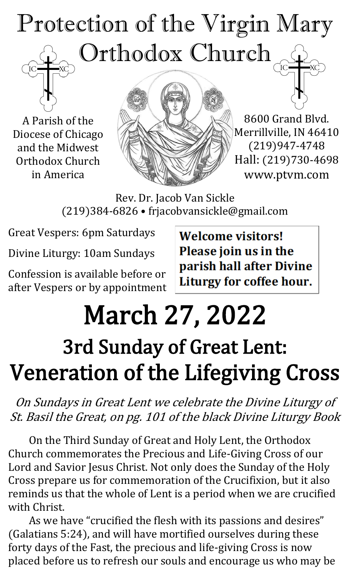# Protection of the Virgin Mary Orthodox Church

A Parish of the Diocese of Chicago and the Midwest Orthodox Church in America



8600 Grand Blvd. Merrillville, IN 46410 (219)947-4748 Hall: (219)730-4698 www.ptvm.com

Rev. Dr. Jacob Van Sickle (219)384-6826 • frjacobvansickle@gmail.com

Great Vespers: 6pm Saturdays

Divine Liturgy: 10am Sundays

Confession is available before or after Vespers or by appointment **Welcome visitors!** Please join us in the parish hall after Divine Liturgy for coffee hour.

# March 27, 2022 3rd Sunday of Great Lent: Veneration of the Lifegiving Cross

On Sundays in Great Lent we celebrate the Divine Liturgy of St. Basil the Great, on pg. 101 of the black Divine Liturgy Book

On the Third Sunday of Great and Holy Lent, the Orthodox Church commemorates the Precious and Life-Giving Cross of our Lord and Savior Jesus Christ. Not only does the Sunday of the Holy Cross prepare us for commemoration of the Crucifixion, but it also reminds us that the whole of Lent is a period when we are crucified with Christ.

As we have "crucified the flesh with its passions and desires" (Galatians 5:24), and will have mortified ourselves during these forty days of the Fast, the precious and life-giving Cross is now placed before us to refresh our souls and encourage us who may be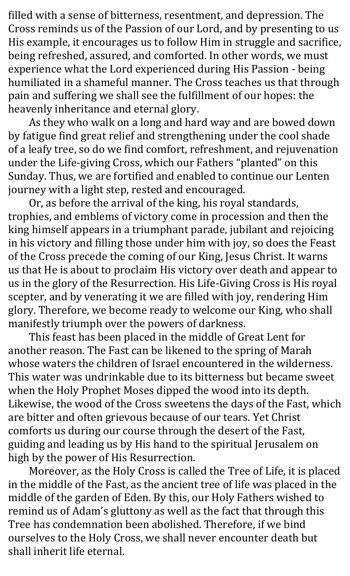filled with a sense of bitterness, resentment, and depression. The Cross reminds us of the Passion of our Lord, and by presenting to us His example, it encourages us to follow Him in struggle and sacrifice, being refreshed, assured, and comforted. In other words, we must experience what the Lord experienced during His Passion - being humiliated in a shameful manner. The Cross teaches us that through pain and suffering we shall see the fulfillment of our hopes: the heavenly inheritance and eternal glory.

As they who walk on a long and hard way and are bowed down by fatigue find great relief and strengthening under the cool shade of a leafy tree, so do we find comfort, refreshment, and rejuvenation under the Life-giving Cross, which our Fathers "planted" on this Sunday. Thus, we are fortified and enabled to continue our Lenten journey with a light step, rested and encouraged.

Or, as before the arrival of the king, his royal standards, trophies, and emblems of victory come in procession and then the king himself appears in a triumphant parade, jubilant and rejoicing in his victory and filling those under him with joy, so does the Feast of the Cross precede the coming of our King, Jesus Christ. It warns us that He is about to proclaim His victory over death and appear to us in the glory of the Resurrection. His Life-Giving Cross is His royal scepter, and by venerating it we are filled with joy, rendering Him glory. Therefore, we become ready to welcome our King, who shall manifestly triumph over the powers of darkness.

This feast has been placed in the middle of Great Lent for another reason. The Fast can be likened to the spring of Marah whose waters the children of Israel encountered in the wilderness. This water was undrinkable due to its bitterness but became sweet when the Holy Prophet Moses dipped the wood into its depth. Likewise, the wood of the Cross sweetens the days of the Fast, which are bitter and often grievous because of our tears. Yet Christ comforts us during our course through the desert of the Fast, guiding and leading us by His hand to the spiritual Jerusalem on high by the power of His Resurrection.

Moreover, as the Holy Cross is called the Tree of Life, it is placed in the middle of the Fast, as the ancient tree of life was placed in the middle of the garden of Eden. By this, our Holy Fathers wished to remind us of Adam's gluttony as well as the fact that through this Tree has condemnation been abolished. Therefore, if we bind ourselves to the Holy Cross, we shall never encounter death but shall inherit life eternal.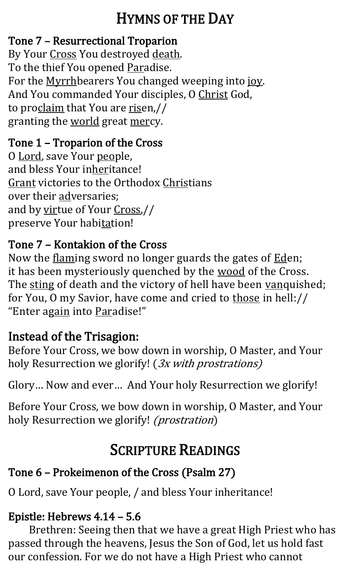## HYMNS OF THE DAY

#### Tone 7 – Resurrectional Troparion

By Your Cross You destroyed death. To the thief You opened Paradise. For the Myrrhbearers You changed weeping into joy. And You commanded Your disciples, O Christ God, to proclaim that You are risen,// granting the world great mercy.

#### Tone 1 – Troparion of the Cross

O Lord, save Your people, and bless Your inheritance! Grant victories to the Orthodox Christians over their adversaries; and by virtue of Your Cross,// preserve Your habitation!

#### Tone 7 – Kontakion of the Cross

Now the flaming sword no longer guards the gates of Eden; it has been mysteriously quenched by the wood of the Cross. The sting of death and the victory of hell have been vanquished; for You, O my Savior, have come and cried to those in hell:// "Enter again into Paradise!"

## Instead of the Trisagion:

Before Your Cross, we bow down in worship, O Master, and Your holy Resurrection we glorify! (3x with prostrations)

Glory… Now and ever… And Your holy Resurrection we glorify!

Before Your Cross, we bow down in worship, O Master, and Your holy Resurrection we glorify! *(prostration)* 

## SCRIPTURE READINGS

## Tone 6 – Prokeimenon of the Cross (Psalm 27)

O Lord, save Your people, / and bless Your inheritance!

#### Epistle: Hebrews 4.14 – 5.6

Brethren: Seeing then that we have a great High Priest who has passed through the heavens, Jesus the Son of God, let us hold fast our confession. For we do not have a High Priest who cannot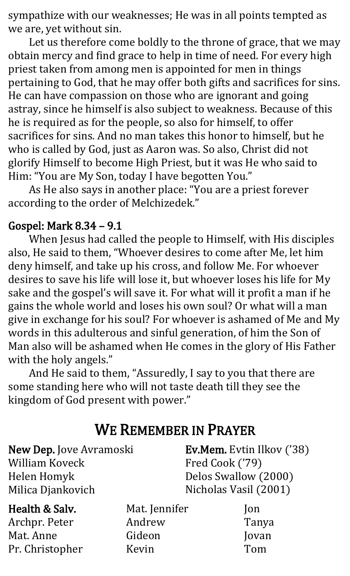sympathize with our weaknesses; He was in all points tempted as we are, yet without sin.

Let us therefore come boldly to the throne of grace, that we may obtain mercy and find grace to help in time of need. For every high priest taken from among men is appointed for men in things pertaining to God, that he may offer both gifts and sacrifices for sins. He can have compassion on those who are ignorant and going astray, since he himself is also subject to weakness. Because of this he is required as for the people, so also for himself, to offer sacrifices for sins. And no man takes this honor to himself, but he who is called by God, just as Aaron was. So also, Christ did not glorify Himself to become High Priest, but it was He who said to Him: "You are My Son, today I have begotten You."

As He also says in another place: "You are a priest forever according to the order of Melchizedek."

#### Gospel: Mark 8.34 – 9.1

When Jesus had called the people to Himself, with His disciples also, He said to them, "Whoever desires to come after Me, let him deny himself, and take up his cross, and follow Me. For whoever desires to save his life will lose it, but whoever loses his life for My sake and the gospel's will save it. For what will it profit a man if he gains the whole world and loses his own soul? Or what will a man give in exchange for his soul? For whoever is ashamed of Me and My words in this adulterous and sinful generation, of him the Son of Man also will be ashamed when He comes in the glory of His Father with the holy angels."

And He said to them, "Assuredly, I say to you that there are some standing here who will not taste death till they see the kingdom of God present with power."

## WE REMEMBER IN PRAYER

New Dep. Jove Avramoski William Koveck Helen Homyk Milica Djankovich

Ev.Mem. Evtin Ilkov ('38) Fred Cook ('79) Delos Swallow (2000) Nicholas Vasil (2001)

#### Health & Salv. Archpr. Peter Mat. Anne Pr. Christopher

Mat. Jennifer Andrew Gideon Kevin

Jon Tanya Jovan Tom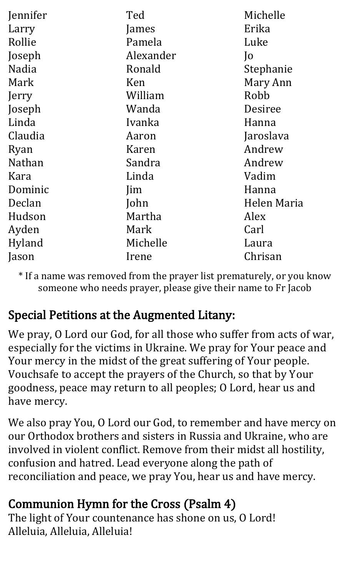| Jennifer     | Ted        | Michelle       |
|--------------|------------|----------------|
| Larry        | James      | Erika          |
| Rollie       | Pamela     | Luke           |
| Joseph       | Alexander  | $\overline{)$  |
| <b>Nadia</b> | Ronald     | Stephanie      |
| Mark         | Ken        | Mary Ann       |
| Jerry        | William    | Robb           |
| Joseph       | Wanda      | <b>Desiree</b> |
| Linda        | Ivanka     | Hanna          |
| Claudia      | Aaron      | Jaroslava      |
| Ryan         | Karen      | Andrew         |
| Nathan       | Sandra     | Andrew         |
| Kara         | Linda      | Vadim          |
| Dominic      | <i>lim</i> | Hanna          |
| Declan       | John       | Helen Maria    |
| Hudson       | Martha     | Alex           |
| Ayden        | Mark       | Carl           |
| Hyland       | Michelle   | Laura          |
| Jason        | Irene      | Chrisan        |

\* If a name was removed from the prayer list prematurely, or you know someone who needs prayer, please give their name to Fr Jacob

## Special Petitions at the Augmented Litany:

We pray, O Lord our God, for all those who suffer from acts of war, especially for the victims in Ukraine. We pray for Your peace and Your mercy in the midst of the great suffering of Your people. Vouchsafe to accept the prayers of the Church, so that by Your goodness, peace may return to all peoples; O Lord, hear us and have mercy.

We also pray You, O Lord our God, to remember and have mercy on our Orthodox brothers and sisters in Russia and Ukraine, who are involved in violent conflict. Remove from their midst all hostility, confusion and hatred. Lead everyone along the path of reconciliation and peace, we pray You, hear us and have mercy.

## Communion Hymn for the Cross (Psalm 4)

The light of Your countenance has shone on us, O Lord! Alleluia, Alleluia, Alleluia!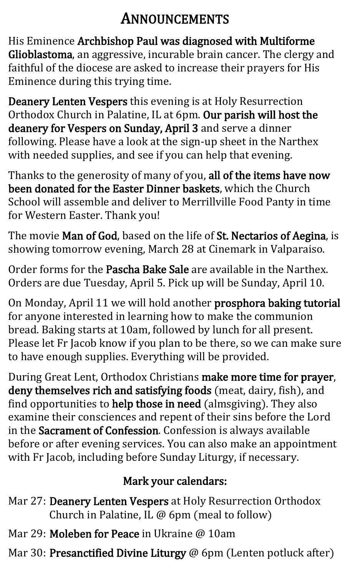## ANNOUNCEMENTS

His Eminence Archbishop Paul was diagnosed with Multiforme Glioblastoma, an aggressive, incurable brain cancer. The clergy and faithful of the diocese are asked to increase their prayers for His Eminence during this trying time.

Deanery Lenten Vespers this evening is at Holy Resurrection Orthodox Church in Palatine, IL at 6pm. Our parish will host the deanery for Vespers on Sunday, April 3 and serve a dinner following. Please have a look at the sign-up sheet in the Narthex with needed supplies, and see if you can help that evening.

Thanks to the generosity of many of you, all of the items have now been donated for the Easter Dinner baskets, which the Church School will assemble and deliver to Merrillville Food Panty in time for Western Easter. Thank you!

The movie Man of God, based on the life of St. Nectarios of Aegina, is showing tomorrow evening, March 28 at Cinemark in Valparaiso.

Order forms for the Pascha Bake Sale are available in the Narthex. Orders are due Tuesday, April 5. Pick up will be Sunday, April 10.

On Monday, April 11 we will hold another prosphora baking tutorial for anyone interested in learning how to make the communion bread. Baking starts at 10am, followed by lunch for all present. Please let Fr Jacob know if you plan to be there, so we can make sure to have enough supplies. Everything will be provided.

During Great Lent, Orthodox Christians make more time for prayer, deny themselves rich and satisfying foods (meat, dairy, fish), and find opportunities to help those in need (almsgiving). They also examine their consciences and repent of their sins before the Lord in the Sacrament of Confession. Confession is always available before or after evening services. You can also make an appointment with Fr Jacob, including before Sunday Liturgy, if necessary.

## Mark your calendars:

- Mar 27: Deanery Lenten Vespers at Holy Resurrection Orthodox Church in Palatine, IL @ 6pm (meal to follow)
- Mar 29: **Moleben for Peace** in Ukraine @ 10am
- Mar 30: Presanctified Divine Liturgy @ 6pm (Lenten potluck after)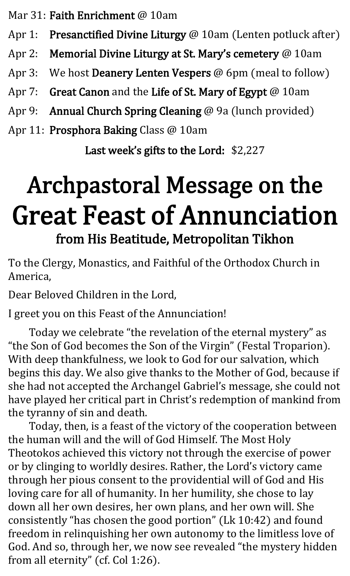Mar 31: Faith Enrichment @ 10am

- Apr 1: Presanctified Divine Liturgy @ 10am (Lenten potluck after)
- Apr 2: Memorial Divine Liturgy at St. Mary's cemetery @ 10am
- Apr 3: We host **Deanery Lenten Vespers** @ 6pm (meal to follow)
- Apr 7: Great Canon and the Life of St. Mary of Egypt @ 10am
- Apr 9: Annual Church Spring Cleaning @ 9a (lunch provided)
- Apr 11: Prosphora Baking Class @ 10am

Last week's gifts to the Lord: \$2,227

## Archpastoral Message on the Great Feast of Annunciation from His Beatitude, Metropolitan Tikhon

To the Clergy, Monastics, and Faithful of the Orthodox Church in America,

Dear Beloved Children in the Lord,

I greet you on this Feast of the Annunciation!

Today we celebrate "the revelation of the eternal mystery" as "the Son of God becomes the Son of the Virgin" (Festal Troparion). With deep thankfulness, we look to God for our salvation, which begins this day. We also give thanks to the Mother of God, because if she had not accepted the Archangel Gabriel's message, she could not have played her critical part in Christ's redemption of mankind from the tyranny of sin and death.

Today, then, is a feast of the victory of the cooperation between the human will and the will of God Himself. The Most Holy Theotokos achieved this victory not through the exercise of power or by clinging to worldly desires. Rather, the Lord's victory came through her pious consent to the providential will of God and His loving care for all of humanity. In her humility, she chose to lay down all her own desires, her own plans, and her own will. She consistently "has chosen the good portion" (Lk 10:42) and found freedom in relinquishing her own autonomy to the limitless love of God. And so, through her, we now see revealed "the mystery hidden from all eternity" (cf. Col 1:26).